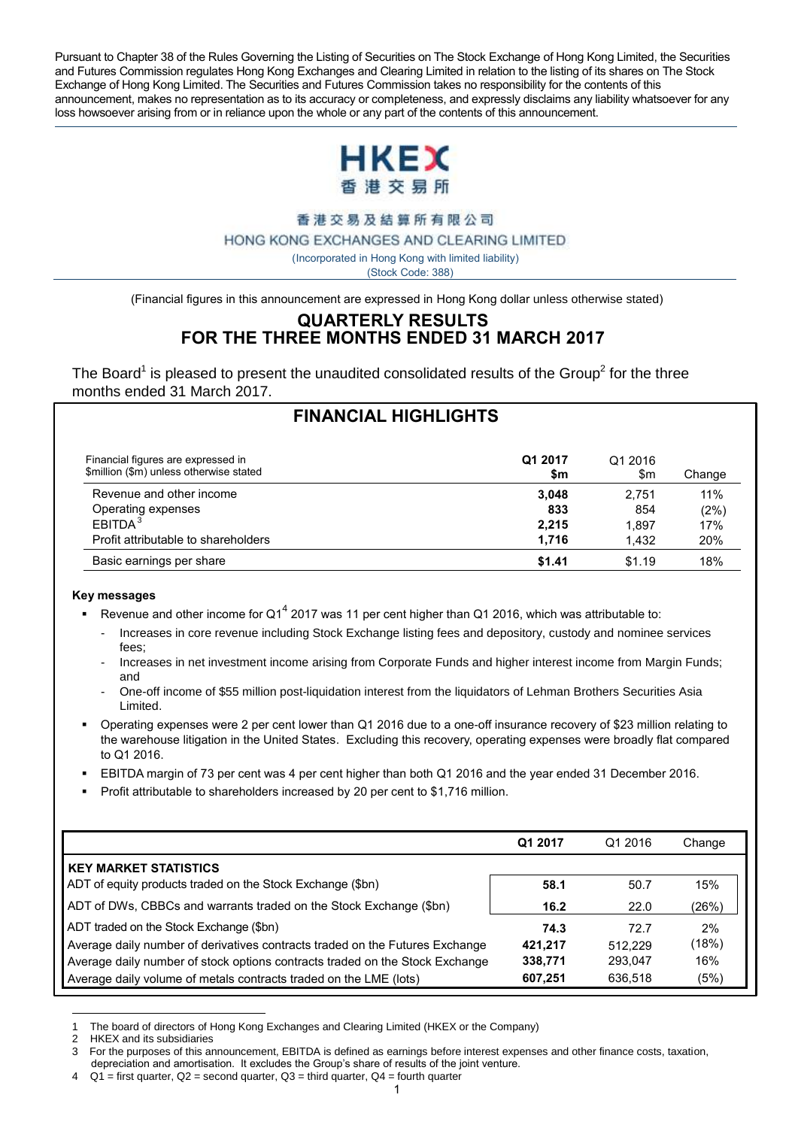Pursuant to Chapter 38 of the Rules Governing the Listing of Securities on The Stock Exchange of Hong Kong Limited, the Securities and Futures Commission regulates Hong Kong Exchanges and Clearing Limited in relation to the listing of its shares on The Stock Exchange of Hong Kong Limited. The Securities and Futures Commission takes no responsibility for the contents of this announcement, makes no representation as to its accuracy or completeness, and expressly disclaims any liability whatsoever for any loss howsoever arising from or in reliance upon the whole or any part of the contents of this announcement.



香港交易及結算所有限公司

HONG KONG EXCHANGES AND CLEARING LIMITED

( Incorporated in Hong Kong with limited liability)

(Stock Code: 388)

(Financial figures in this announcement are expressed in Hong Kong dollar unless otherwise stated)

#### **QUARTERLY RESULTS FOR THE THREE MONTHS ENDED 31 MARCH 2017**

The Board<sup>1</sup> is pleased to present the unaudited consolidated results of the Group<sup>2</sup> for the three months ended 31 March 2017.

| <b>FINANCIAL HIGHLIGHTS</b>                                                   |                |                |        |
|-------------------------------------------------------------------------------|----------------|----------------|--------|
| Financial figures are expressed in<br>\$million (\$m) unless otherwise stated | Q1 2017<br>\$m | Q1 2016<br>\$m | Change |
| Revenue and other income                                                      | 3,048          | 2.751          | 11%    |
| Operating expenses                                                            | 833            | 854            | (2%)   |
| FBITDA <sup>3</sup>                                                           | 2.215          | 1.897          | 17%    |
| Profit attributable to shareholders                                           | 1.716          | 1.432          | 20%    |
| Basic earnings per share                                                      | \$1.41         | \$1.19         | 18%    |

#### **Key messages**

- Revenue and other income for Q1<sup>4</sup> 2017 was 11 per cent higher than Q1 2016, which was attributable to:
	- Increases in core revenue including Stock Exchange listing fees and depository, custody and nominee services fees;
	- Increases in net investment income arising from Corporate Funds and higher interest income from Margin Funds; and
	- One-off income of \$55 million post-liquidation interest from the liquidators of Lehman Brothers Securities Asia Limited.
- Operating expenses were 2 per cent lower than Q1 2016 due to a one-off insurance recovery of \$23 million relating to the warehouse litigation in the United States. Excluding this recovery, operating expenses were broadly flat compared to Q1 2016.
- EBITDA margin of 73 per cent was 4 per cent higher than both Q1 2016 and the year ended 31 December 2016.
- Profit attributable to shareholders increased by 20 per cent to \$1,716 million.

|                                                                              | Q1 2017 | Q1 2016 | Change |
|------------------------------------------------------------------------------|---------|---------|--------|
| <b>KEY MARKET STATISTICS</b>                                                 |         |         |        |
| ADT of equity products traded on the Stock Exchange (\$bn)                   | 58.1    | 50.7    | 15%    |
| ADT of DWs, CBBCs and warrants traded on the Stock Exchange (\$bn)           | 16.2    | 22.0    | (26%)  |
| ADT traded on the Stock Exchange (\$bn)                                      | 74.3    | 72.7    | 2%     |
| Average daily number of derivatives contracts traded on the Futures Exchange | 421.217 | 512.229 | (18%)  |
| Average daily number of stock options contracts traded on the Stock Exchange | 338,771 | 293.047 | 16%    |
| Average daily volume of metals contracts traded on the LME (lots)            | 607,251 | 636.518 | (5%)   |

 $\overline{a}$ The board of directors of Hong Kong Exchanges and Clearing Limited (HKEX or the Company)

<sup>2</sup> HKEX and its subsidiaries

<sup>3</sup> For the purposes of this announcement, EBITDA is defined as earnings before interest expenses and other finance costs, taxation, depreciation and amortisation. It excludes the Group's share of results of the joint venture.

 $Q1$  = first quarter,  $Q2$  = second quarter,  $Q3$  = third quarter,  $Q4$  = fourth quarter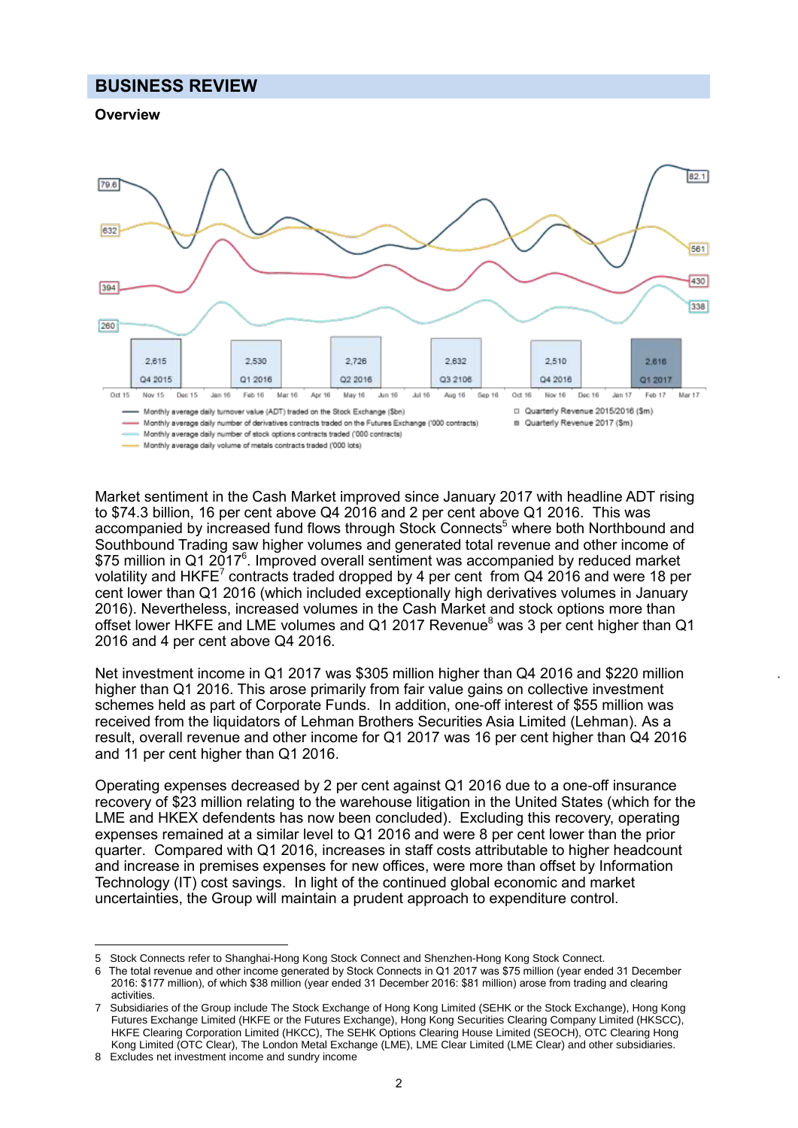#### **BUSINESS REVIEW**

#### **Overview**



Market sentiment in the Cash Market improved since January 2017 with headline ADT rising to \$74.3 billion, 16 per cent above Q4 2016 and 2 per cent above Q1 2016. This was accompanied by increased fund flows through Stock Connects<sup>5</sup> where both Northbound and Southbound Trading saw higher volumes and generated total revenue and other income of \$75 million in Q1 2017<sup>6</sup>. Improved overall sentiment was accompanied by reduced market volatility and HKFE<sup>7</sup> contracts traded dropped by 4 per cent from Q4 2016 and were 18 per cent lower than Q1 2016 (which included exceptionally high derivatives volumes in January 2016). Nevertheless, increased volumes in the Cash Market and stock options more than offset lower HKFE and LME volumes and Q1 2017 Revenue<sup>8</sup> was 3 per cent higher than Q1 2016 and 4 per cent above Q4 2016.

Net investment income in Q1 2017 was \$305 million higher than Q4 2016 and \$220 million higher than Q1 2016. This arose primarily from fair value gains on collective investment schemes held as part of Corporate Funds. In addition, one-off interest of \$55 million was received from the liquidators of Lehman Brothers Securities Asia Limited (Lehman). As a result, overall revenue and other income for Q1 2017 was 16 per cent higher than Q4 2016 and 11 per cent higher than Q1 2016.

Operating expenses decreased by 2 per cent against Q1 2016 due to a one-off insurance recovery of \$23 million relating to the warehouse litigation in the United States (which for the LME and HKEX defendents has now been concluded). Excluding this recovery, operating expenses remained at a similar level to Q1 2016 and were 8 per cent lower than the prior quarter. Compared with Q1 2016, increases in staff costs attributable to higher headcount and increase in premises expenses for new offices, were more than offset by Information Technology (IT) cost savings. In light of the continued global economic and market uncertainties, the Group will maintain a prudent approach to expenditure control.

 $\overline{a}$ 

<sup>5</sup> Stock Connects refer to Shanghai-Hong Kong Stock Connect and Shenzhen-Hong Kong Stock Connect.

The total revenue and other income generated by Stock Connects in Q1 2017 was \$75 million (year ended 31 December 2016: \$177 million), of which \$38 million (year ended 31 December 2016: \$81 million) arose from trading and clearing activities.

<sup>7</sup> Subsidiaries of the Group include The Stock Exchange of Hong Kong Limited (SEHK or the Stock Exchange), Hong Kong Futures Exchange Limited (HKFE or the Futures Exchange), Hong Kong Securities Clearing Company Limited (HKSCC), HKFE Clearing Corporation Limited (HKCC), The SEHK Options Clearing House Limited (SEOCH), OTC Clearing Hong Kong Limited (OTC Clear), The London Metal Exchange (LME), LME Clear Limited (LME Clear) and other subsidiaries.

<sup>8</sup> Excludes net investment income and sundry income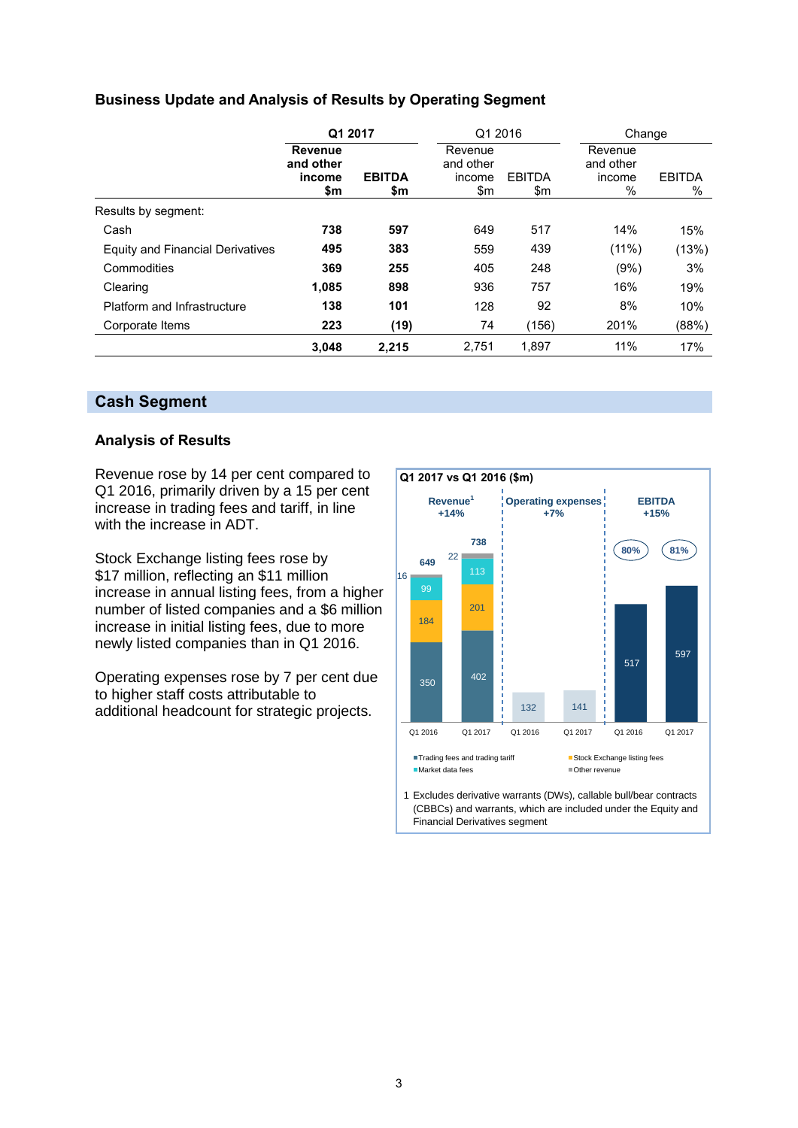#### **Business Update and Analysis of Results by Operating Segment**

|                                  |                                              | Q1 2017              |                                       | Q1 2016              |                                     | Change                |  |  |
|----------------------------------|----------------------------------------------|----------------------|---------------------------------------|----------------------|-------------------------------------|-----------------------|--|--|
|                                  | <b>Revenue</b><br>and other<br>income<br>\$m | <b>EBITDA</b><br>\$m | Revenue<br>and other<br>income<br>\$m | <b>EBITDA</b><br>\$m | Revenue<br>and other<br>income<br>% | <b>EBITDA</b><br>$\%$ |  |  |
| Results by segment:              |                                              |                      |                                       |                      |                                     |                       |  |  |
| Cash                             | 738                                          | 597                  | 649                                   | 517                  | 14%                                 | 15%                   |  |  |
| Equity and Financial Derivatives | 495                                          | 383                  | 559                                   | 439                  | $(11\%)$                            | (13%)                 |  |  |
| Commodities                      | 369                                          | 255                  | 405                                   | 248                  | (9%)                                | 3%                    |  |  |
| Clearing                         | 1,085                                        | 898                  | 936                                   | 757                  | 16%                                 | 19%                   |  |  |
| Platform and Infrastructure      | 138                                          | 101                  | 128                                   | 92                   | 8%                                  | 10%                   |  |  |
| Corporate Items                  | 223                                          | (19)                 | 74                                    | (156)                | 201%                                | (88%)                 |  |  |
|                                  | 3.048                                        | 2.215                | 2.751                                 | 1.897                | 11%                                 | 17%                   |  |  |

#### **Cash Segment**

#### **Analysis of Results**

Revenue rose by 14 per cent compared to Q1 2016, primarily driven by a 15 per cent increase in trading fees and tariff, in line with the increase in ADT.

Stock Exchange listing fees rose by \$17 million, reflecting an \$11 million increase in annual listing fees, from a higher number of listed companies and a \$6 million increase in initial listing fees, due to more newly listed companies than in Q1 2016.

Operating expenses rose by 7 per cent due to higher staff costs attributable to additional headcount for strategic projects.

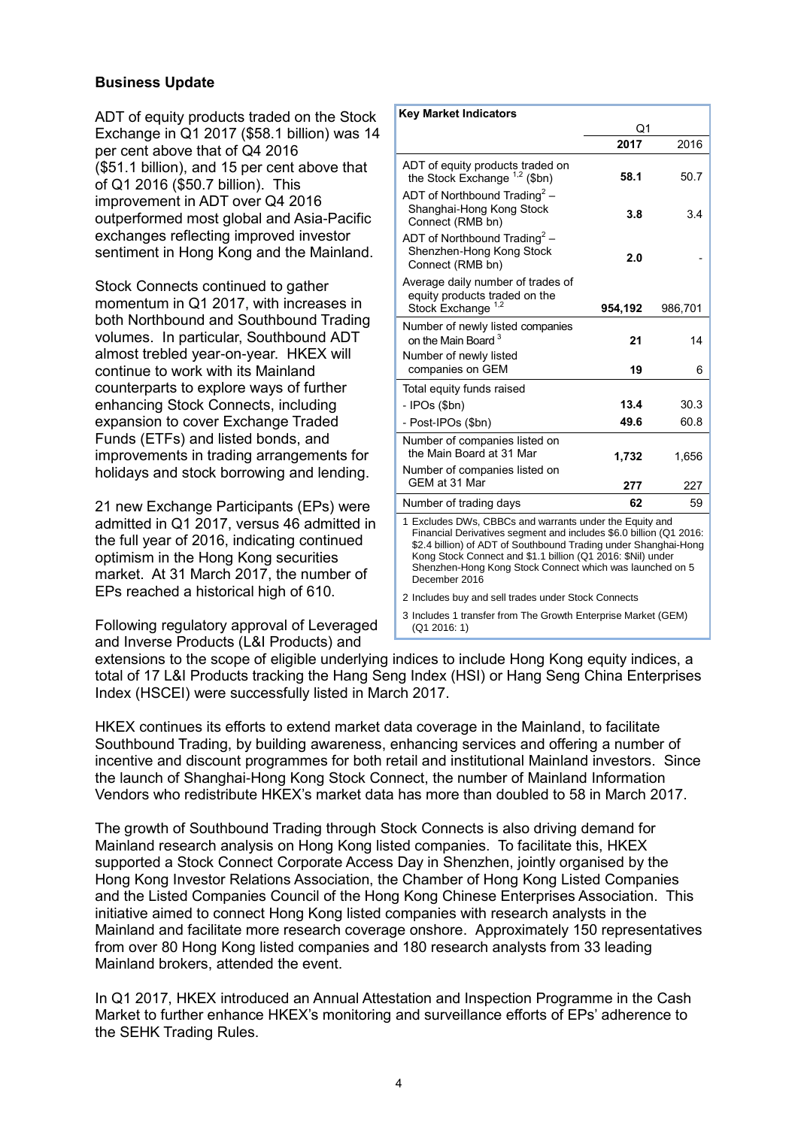#### **Business Update**

ADT of equity products traded on the Stock Exchange in Q1 2017 (\$58.1 billion) was 14 per cent above that of Q4 2016 (\$51.1 billion), and 15 per cent above that of Q1 2016 (\$50.7 billion). This improvement in ADT over Q4 2016 outperformed most global and Asia-Pacific exchanges reflecting improved investor sentiment in Hong Kong and the Mainland.

Stock Connects continued to gather momentum in Q1 2017, with increases in both Northbound and Southbound Trading volumes. In particular, Southbound ADT almost trebled year-on-year. HKEX will continue to work with its Mainland counterparts to explore ways of further enhancing Stock Connects, including expansion to cover Exchange Traded Funds (ETFs) and listed bonds, and improvements in trading arrangements for holidays and stock borrowing and lending.

21 new Exchange Participants (EPs) were admitted in Q1 2017, versus 46 admitted in the full year of 2016, indicating continued optimism in the Hong Kong securities market. At 31 March 2017, the number of EPs reached a historical high of 610.

Following regulatory approval of Leveraged and Inverse Products (L&I Products) and

| <b>Key Market Indicators</b>                                                                                                                                                                                                                                                                                                                 |         |         |  |
|----------------------------------------------------------------------------------------------------------------------------------------------------------------------------------------------------------------------------------------------------------------------------------------------------------------------------------------------|---------|---------|--|
|                                                                                                                                                                                                                                                                                                                                              | Q1      |         |  |
|                                                                                                                                                                                                                                                                                                                                              | 2017    | 2016    |  |
| ADT of equity products traded on<br>the Stock Exchange $1.2$ (\$bn)                                                                                                                                                                                                                                                                          | 58.1    | 50.7    |  |
| ADT of Northbound Trading <sup>2</sup> –<br>Shanghai-Hong Kong Stock<br>Connect (RMB bn)                                                                                                                                                                                                                                                     | 3.8     | 3.4     |  |
| ADT of Northbound Trading <sup>2</sup> –<br>Shenzhen-Hong Kong Stock<br>Connect (RMB bn)                                                                                                                                                                                                                                                     | 2.0     |         |  |
| Average daily number of trades of<br>equity products traded on the<br>Stock Exchange <sup>1,2</sup>                                                                                                                                                                                                                                          | 954,192 | 986,701 |  |
| Number of newly listed companies<br>on the Main Board <sup>3</sup><br>Number of newly listed                                                                                                                                                                                                                                                 | 21      | 14      |  |
| companies on GEM                                                                                                                                                                                                                                                                                                                             | 19      | 6       |  |
| Total equity funds raised                                                                                                                                                                                                                                                                                                                    |         |         |  |
| - IPOs (\$bn)                                                                                                                                                                                                                                                                                                                                | 13.4    | 30.3    |  |
| - Post-IPOs (\$bn)                                                                                                                                                                                                                                                                                                                           | 49.6    | 60.8    |  |
| Number of companies listed on<br>the Main Board at 31 Mar                                                                                                                                                                                                                                                                                    | 1,732   | 1,656   |  |
| Number of companies listed on<br>GEM at 31 Mar                                                                                                                                                                                                                                                                                               | 277     | 227     |  |
| Number of trading days                                                                                                                                                                                                                                                                                                                       | 62      | 59      |  |
| 1 Excludes DWs, CBBCs and warrants under the Equity and<br>Financial Derivatives segment and includes \$6.0 billion (Q1 2016:<br>\$2.4 billion) of ADT of Southbound Trading under Shanghai-Hong<br>Kong Stock Connect and \$1.1 billion (Q1 2016: \$Nil) under<br>Shenzhen-Hong Kong Stock Connect which was launched on 5<br>December 2016 |         |         |  |

2 Includes buy and sell trades under Stock Connects

3 Includes 1 transfer from The Growth Enterprise Market (GEM) (Q1 2016: 1)

extensions to the scope of eligible underlying indices to include Hong Kong equity indices, a total of 17 L&I Products tracking the Hang Seng Index (HSI) or Hang Seng China Enterprises Index (HSCEI) were successfully listed in March 2017.

HKEX continues its efforts to extend market data coverage in the Mainland, to facilitate Southbound Trading, by building awareness, enhancing services and offering a number of incentive and discount programmes for both retail and institutional Mainland investors. Since the launch of Shanghai-Hong Kong Stock Connect, the number of Mainland Information Vendors who redistribute HKEX's market data has more than doubled to 58 in March 2017.

The growth of Southbound Trading through Stock Connects is also driving demand for Mainland research analysis on Hong Kong listed companies. To facilitate this, HKEX supported a Stock Connect Corporate Access Day in Shenzhen, jointly organised by the Hong Kong Investor Relations Association, the Chamber of Hong Kong Listed Companies and the Listed Companies Council of the Hong Kong Chinese Enterprises Association. This initiative aimed to connect Hong Kong listed companies with research analysts in the Mainland and facilitate more research coverage onshore. Approximately 150 representatives from over 80 Hong Kong listed companies and 180 research analysts from 33 leading Mainland brokers, attended the event.

In Q1 2017, HKEX introduced an Annual Attestation and Inspection Programme in the Cash Market to further enhance HKEX's monitoring and surveillance efforts of EPs' adherence to the SEHK Trading Rules.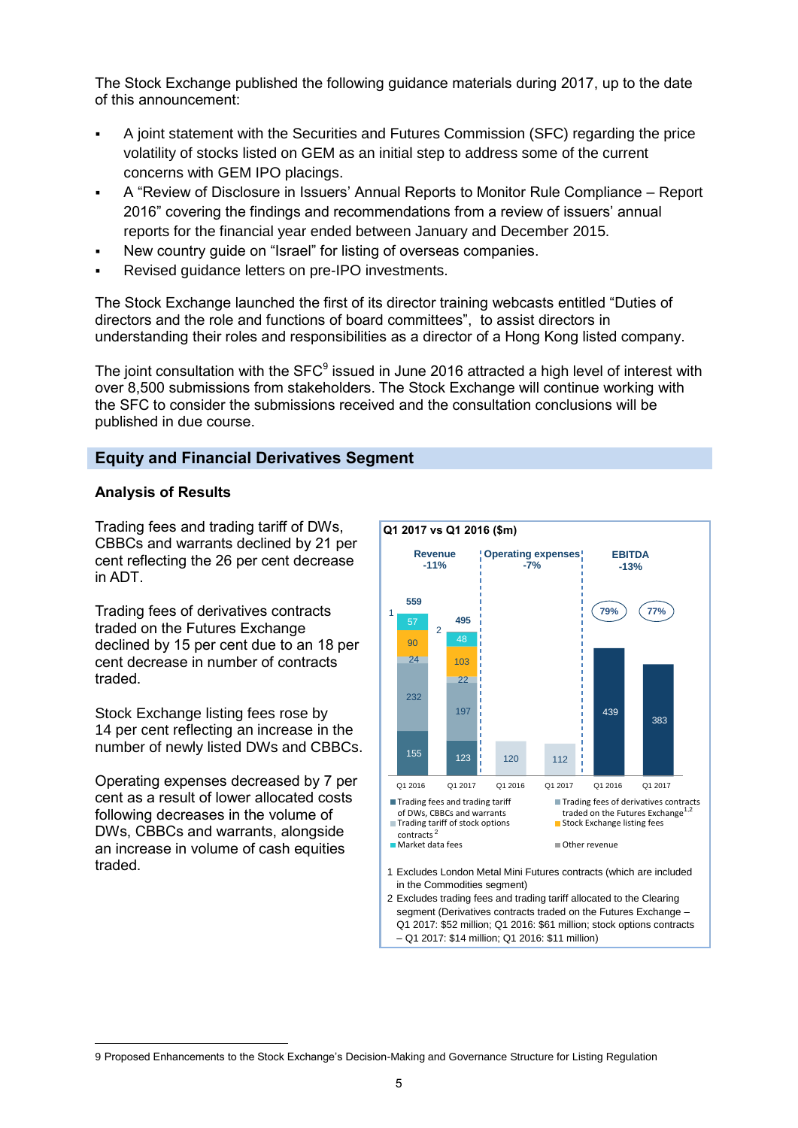The Stock Exchange published the following guidance materials during 2017, up to the date of this announcement:

- A joint statement with the Securities and Futures Commission (SFC) regarding the price volatility of stocks listed on GEM as an initial step to address some of the current concerns with GEM IPO placings.
- A "Review of Disclosure in Issuers' Annual Reports to Monitor Rule Compliance Report 2016" covering the findings and recommendations from a review of issuers' annual reports for the financial year ended between January and December 2015.
- New country guide on "Israel" for listing of overseas companies.
- Revised guidance letters on pre-IPO investments.

The Stock Exchange launched the first of its director training webcasts entitled "Duties of directors and the role and functions of board committees", to assist directors in understanding their roles and responsibilities as a director of a Hong Kong listed company.

The joint consultation with the SFC $^9$  issued in June 2016 attracted a high level of interest with over 8,500 submissions from stakeholders. The Stock Exchange will continue working with the SFC to consider the submissions received and the consultation conclusions will be published in due course.

#### **Equity and Financial Derivatives Segment**

#### **Analysis of Results**

Trading fees and trading tariff of DWs, CBBCs and warrants declined by 21 per cent reflecting the 26 per cent decrease in ADT.

Trading fees of derivatives contracts traded on the Futures Exchange declined by 15 per cent due to an 18 per cent decrease in number of contracts traded.

Stock Exchange listing fees rose by 14 per cent reflecting an increase in the number of newly listed DWs and CBBCs.

Operating expenses decreased by 7 per cent as a result of lower allocated costs following decreases in the volume of DWs, CBBCs and warrants, alongside an increase in volume of cash equities traded.

 $\overline{a}$ 



– Q1 2017: \$14 million; Q1 2016: \$11 million)

<sup>9</sup> Proposed Enhancements to the Stock Exchange's Decision-Making and Governance Structure for Listing Regulation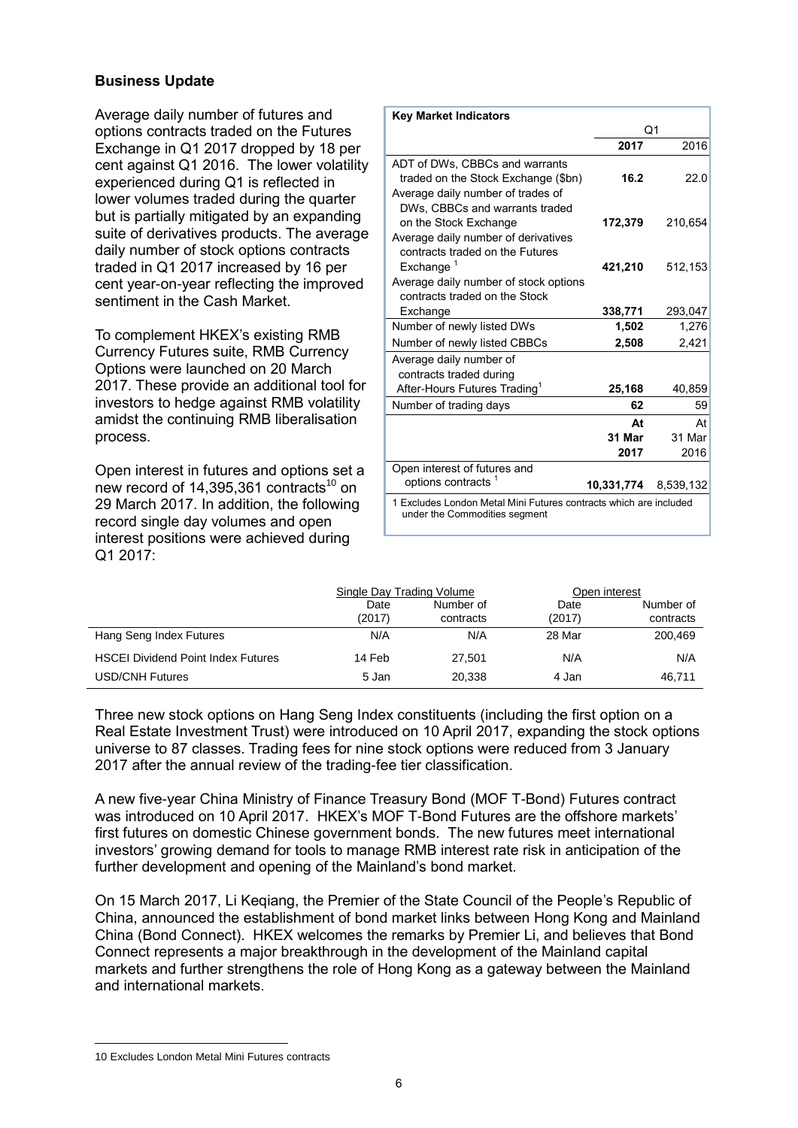#### **Business Update**

Average daily number of futures and options contracts traded on the Futures Exchange in Q1 2017 dropped by 18 per cent against Q1 2016. The lower volatility experienced during Q1 is reflected in lower volumes traded during the quarter but is partially mitigated by an expanding suite of derivatives products. The average daily number of stock options contracts traded in Q1 2017 increased by 16 per cent year-on-year reflecting the improved sentiment in the Cash Market.

To complement HKEX's existing RMB Currency Futures suite, RMB Currency Options were launched on 20 March 2017. These provide an additional tool for investors to hedge against RMB volatility amidst the continuing RMB liberalisation process.

Open interest in futures and options set a new record of  $14,395,361$  contracts<sup>10</sup> on 29 March 2017. In addition, the following record single day volumes and open interest positions were achieved during Q1 2017:

| <b>Key Market Indicators</b>                                                                                                      |                      |                      |
|-----------------------------------------------------------------------------------------------------------------------------------|----------------------|----------------------|
|                                                                                                                                   |                      | Q1                   |
|                                                                                                                                   | 2017                 | 2016                 |
| ADT of DWs, CBBCs and warrants<br>traded on the Stock Exchange (\$bn)<br>Average daily number of trades of                        | 16.2                 | 22.0                 |
| DWs. CBBCs and warrants traded<br>on the Stock Exchange<br>Average daily number of derivatives<br>contracts traded on the Futures | 172,379              | 210,654              |
| Exchange $1$<br>Average daily number of stock options<br>contracts traded on the Stock                                            | 421,210              | 512,153              |
| Exchange                                                                                                                          | 338,771              | 293,047              |
| Number of newly listed DWs                                                                                                        | 1,502                | 1,276                |
| Number of newly listed CBBCs                                                                                                      | 2,508                | 2,421                |
| Average daily number of<br>contracts traded during<br>After-Hours Futures Trading <sup>1</sup>                                    | 25,168               | 40,859               |
| Number of trading days                                                                                                            | 62                   | 59                   |
|                                                                                                                                   | Δt<br>31 Mar<br>2017 | At<br>31 Mar<br>2016 |
| Open interest of futures and<br>options contracts                                                                                 | 10,331,774           | 8,539,132            |
| 1 Excludes London Metal Mini Futures contracts which are included<br>under the Commodities segment                                |                      |                      |

|                                           | Single Day Trading Volume |                        | Open interest  |                        |
|-------------------------------------------|---------------------------|------------------------|----------------|------------------------|
|                                           | Date<br>(2017)            | Number of<br>contracts | Date<br>(2017) | Number of<br>contracts |
| Hang Seng Index Futures                   | N/A                       | N/A                    | 28 Mar         | 200.469                |
| <b>HSCEI Dividend Point Index Futures</b> | 14 Feb                    | 27.501                 | N/A            | N/A                    |
| <b>USD/CNH Futures</b>                    | 5 Jan                     | 20.338                 | 4 Jan          | 46,711                 |

Three new stock options on Hang Seng Index constituents (including the first option on a Real Estate Investment Trust) were introduced on 10 April 2017, expanding the stock options universe to 87 classes. Trading fees for nine stock options were reduced from 3 January 2017 after the annual review of the trading-fee tier classification.

A new five-year China Ministry of Finance Treasury Bond (MOF T-Bond) Futures contract was introduced on 10 April 2017. HKEX's MOF T-Bond Futures are the offshore markets' first futures on domestic Chinese government bonds. The new futures meet international investors' growing demand for tools to manage RMB interest rate risk in anticipation of the further development and opening of the Mainland's bond market.

On 15 March 2017, Li Keqiang, the Premier of the State Council of the People's Republic of China, announced the establishment of bond market links between Hong Kong and Mainland China (Bond Connect). HKEX welcomes the remarks by Premier Li, and believes that Bond Connect represents a major breakthrough in the development of the Mainland capital markets and further strengthens the role of Hong Kong as a gateway between the Mainland and international markets.

 $\overline{a}$ 

<sup>10</sup> Excludes London Metal Mini Futures contracts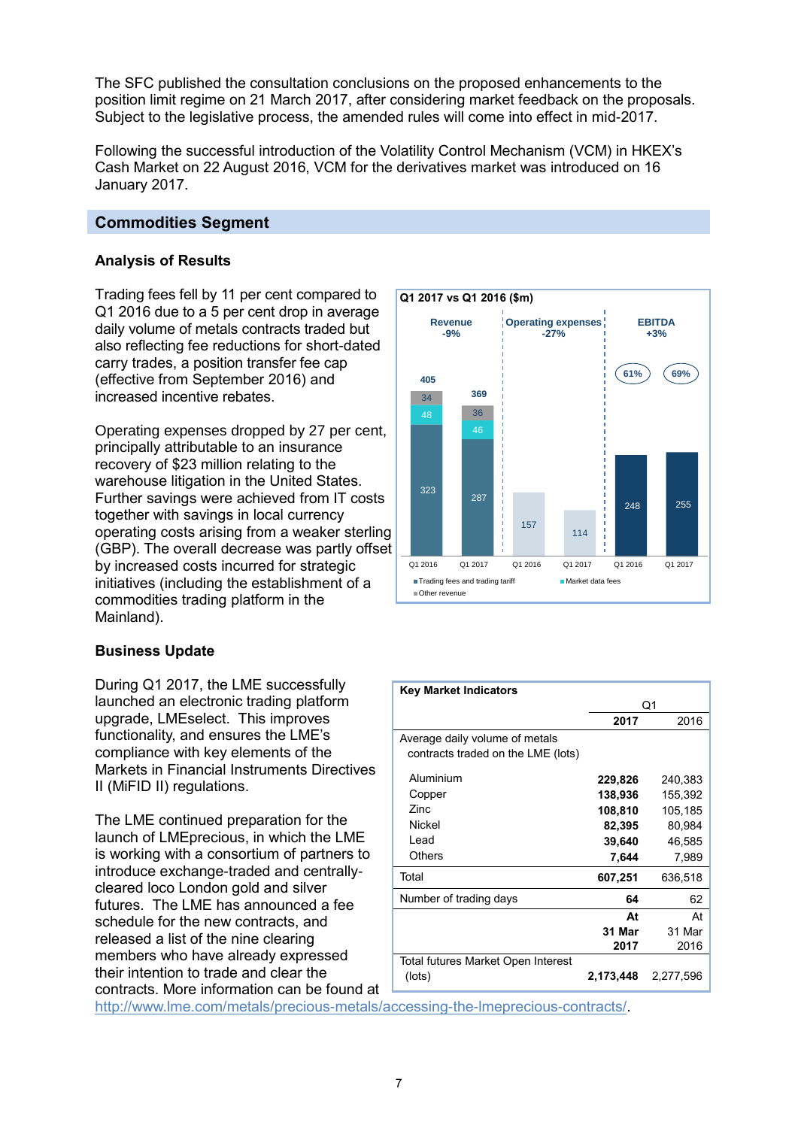The SFC published the consultation conclusions on the proposed enhancements to the position limit regime on 21 March 2017, after considering market feedback on the proposals. Subject to the legislative process, the amended rules will come into effect in mid-2017.

Following the successful introduction of the Volatility Control Mechanism (VCM) in HKEX's Cash Market on 22 August 2016, VCM for the derivatives market was introduced on 16 January 2017.

#### **Commodities Segment**

#### **Analysis of Results**

Trading fees fell by 11 per cent compared to Q1 2016 due to a 5 per cent drop in average daily volume of metals contracts traded but also reflecting fee reductions for short-dated carry trades, a position transfer fee cap (effective from September 2016) and increased incentive rebates.

Operating expenses dropped by 27 per cent, principally attributable to an insurance recovery of \$23 million relating to the warehouse litigation in the United States. Further savings were achieved from IT costs together with savings in local currency operating costs arising from a weaker sterling (GBP). The overall decrease was partly offset by increased costs incurred for strategic initiatives (including the establishment of a commodities trading platform in the Mainland).

#### **Business Update**

During Q1 2017, the LME successfully launched an electronic trading platform upgrade, LMEselect. This improves functionality, and ensures the LME's compliance with key elements of the Markets in Financial Instruments Directives II (MiFID II) regulations.

The LME continued preparation for the launch of LMEprecious, in which the LME is working with a consortium of partners to introduce exchange-traded and centrallycleared loco London gold and silver futures. The LME has announced a fee schedule for the new contracts, and released a list of the nine clearing members who have already expressed their intention to trade and clear the contracts. More information can be found at



| <b>Key Market Indicators</b>       |           |           |
|------------------------------------|-----------|-----------|
|                                    |           | Q1        |
|                                    | 2017      | 2016      |
| Average daily volume of metals     |           |           |
| contracts traded on the LME (lots) |           |           |
| Aluminium                          | 229,826   | 240,383   |
| Copper                             | 138,936   | 155,392   |
| Zinc                               | 108,810   | 105,185   |
| Nickel                             | 82,395    | 80,984    |
| Lead                               | 39,640    | 46,585    |
| Others                             | 7,644     | 7,989     |
| Total                              | 607,251   | 636,518   |
| Number of trading days             | 64        | 62        |
|                                    | At        | At        |
|                                    | 31 Mar    | 31 Mar    |
|                                    | 2017      | 2016      |
| Total futures Market Open Interest |           |           |
| (lots)                             | 2,173,448 | 2,277,596 |

[http://www.lme.com/metals/precious-metals/accessing-the-lmeprecious-contracts/.](http://www.lme.com/metals/precious-metals/accessing-the-lmeprecious-contracts/)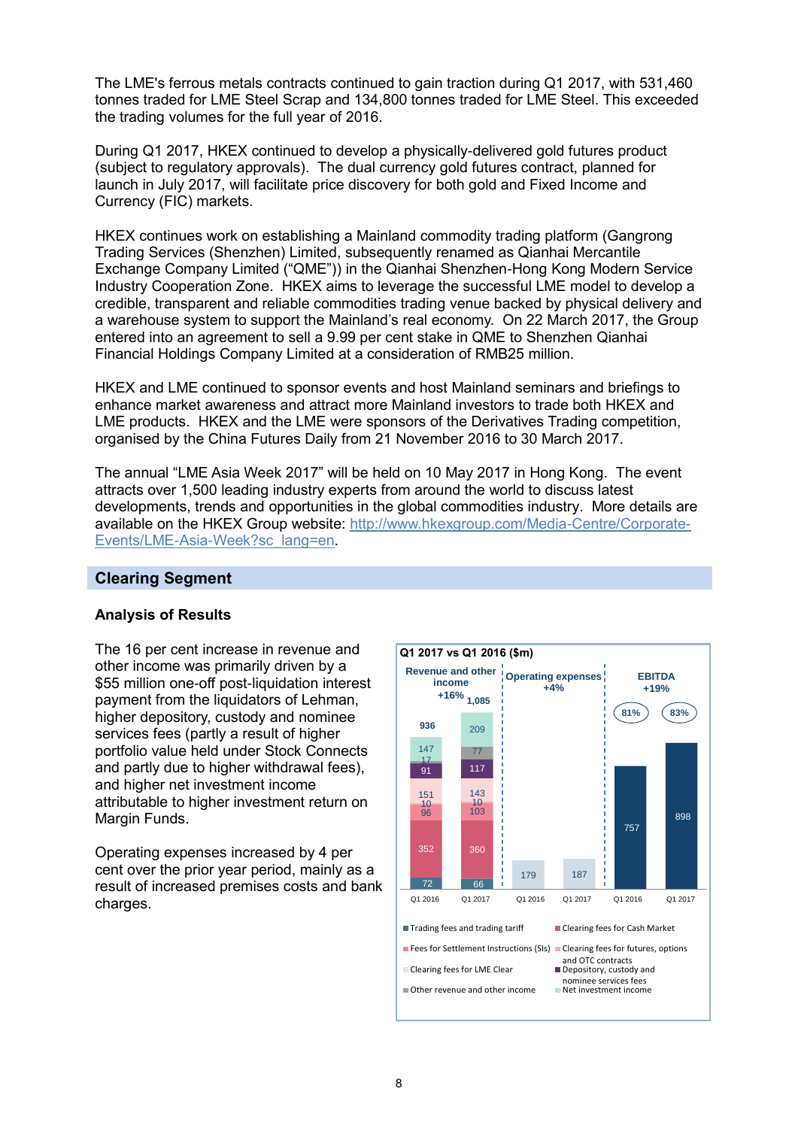The LME's ferrous metals contracts continued to gain traction during Q1 2017, with 531,460 tonnes traded for LME Steel Scrap and 134,800 tonnes traded for LME Steel. This exceeded the trading volumes for the full year of 2016.

During Q1 2017, HKEX continued to develop a physically-delivered gold futures product (subject to regulatory approvals). The dual currency gold futures contract, planned for launch in July 2017, will facilitate price discovery for both gold and Fixed Income and Currency (FIC) markets.

HKEX continues work on establishing a Mainland commodity trading platform (Gangrong Trading Services (Shenzhen) Limited, subsequently renamed as Qianhai Mercantile Exchange Company Limited ("QME")) in the Qianhai Shenzhen-Hong Kong Modern Service Industry Cooperation Zone. HKEX aims to leverage the successful LME model to develop a credible, transparent and reliable commodities trading venue backed by physical delivery and a warehouse system to support the Mainland's real economy. On 22 March 2017, the Group entered into an agreement to sell a 9.99 per cent stake in QME to Shenzhen Qianhai Financial Holdings Company Limited at a consideration of RMB25 million.

HKEX and LME continued to sponsor events and host Mainland seminars and briefings to enhance market awareness and attract more Mainland investors to trade both HKEX and LME products. HKEX and the LME were sponsors of the Derivatives Trading competition, organised by the China Futures Daily from 21 November 2016 to 30 March 2017.

The annual "LME Asia Week 2017" will be held on 10 May 2017 in Hong Kong. The event attracts over 1,500 leading industry experts from around the world to discuss latest developments, trends and opportunities in the global commodities industry. More details are available on the HKEX Group website: [http://www.hkexgroup.com/Media-Centre/Corporate-](http://www.hkexgroup.com/Media-Centre/Corporate-Events/LME-Asia-Week?sc_lang=en)[Events/LME-Asia-Week?sc\\_lang=en.](http://www.hkexgroup.com/Media-Centre/Corporate-Events/LME-Asia-Week?sc_lang=en)

#### **Clearing Segment**

#### **Analysis of Results**

The 16 per cent increase in revenue and other income was primarily driven by a \$55 million one-off post-liquidation interest payment from the liquidators of Lehman. higher depository, custody and nominee services fees (partly a result of higher portfolio value held under Stock Connects and partly due to higher withdrawal fees), and higher net investment income attributable to higher investment return on Margin Funds.

Operating expenses increased by 4 per cent over the prior year period, mainly as a result of increased premises costs and bank charges.

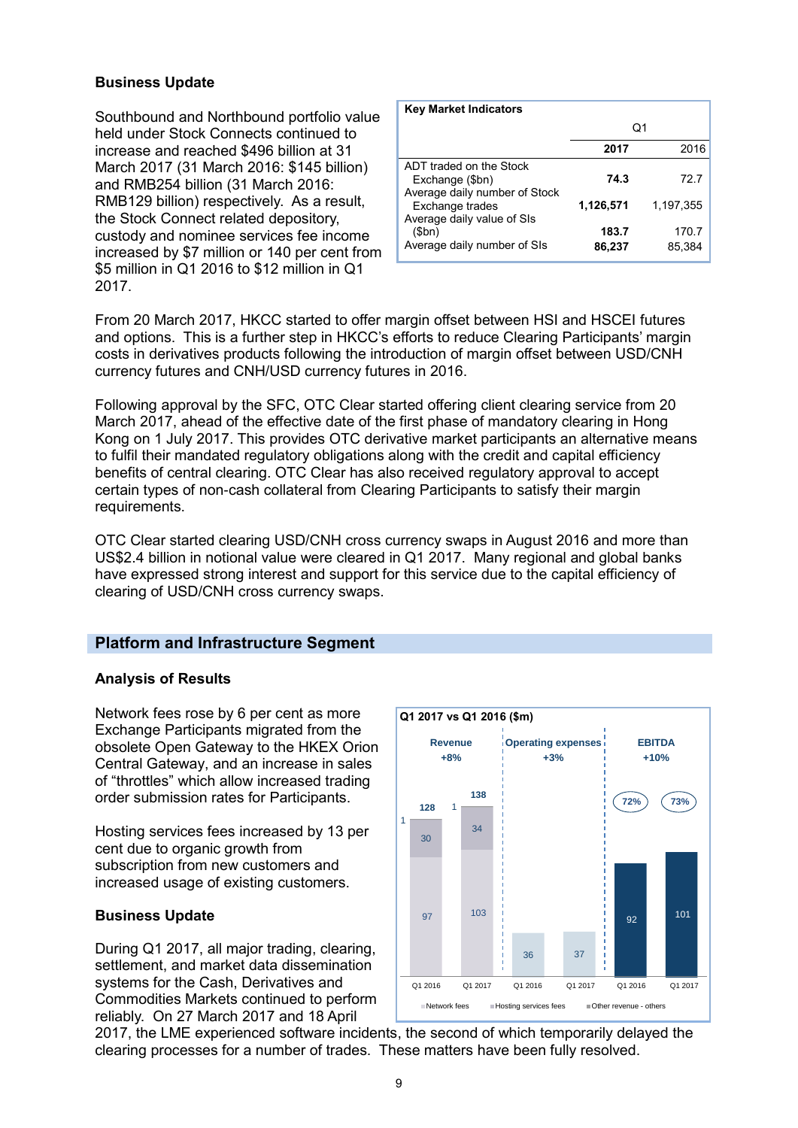#### **Business Update**

Southbound and Northbound portfolio value held under Stock Connects continued to increase and reached \$496 billion at 31 March 2017 (31 March 2016: \$145 billion) and RMB254 billion (31 March 2016: RMB129 billion) respectively. As a result, the Stock Connect related depository, custody and nominee services fee income increased by \$7 million or 140 per cent from \$5 million in Q1 2016 to \$12 million in Q1 2017.

| <b>Key Market Indicators</b>                                                |                 |                 |
|-----------------------------------------------------------------------------|-----------------|-----------------|
|                                                                             | Q1              |                 |
|                                                                             | 2017            | 2016            |
| ADT traded on the Stock<br>Exchange (\$bn)<br>Average daily number of Stock | 74.3            | 72.7            |
| Exchange trades<br>Average daily value of SIs                               | 1,126,571       | 1.197.355       |
| (Sbn)<br>Average daily number of SIs                                        | 183.7<br>86,237 | 170.7<br>85,384 |

From 20 March 2017, HKCC started to offer margin offset between HSI and HSCEI futures and options. This is a further step in HKCC's efforts to reduce Clearing Participants' margin costs in derivatives products following the introduction of margin offset between USD/CNH currency futures and CNH/USD currency futures in 2016.

Following approval by the SFC, OTC Clear started offering client clearing service from 20 March 2017, ahead of the effective date of the first phase of mandatory clearing in Hong Kong on 1 July 2017. This provides OTC derivative market participants an alternative means to fulfil their mandated regulatory obligations along with the credit and capital efficiency benefits of central clearing. OTC Clear has also received regulatory approval to accept certain types of non-cash collateral from Clearing Participants to satisfy their margin requirements.

OTC Clear started clearing USD/CNH cross currency swaps in August 2016 and more than US\$2.4 billion in notional value were cleared in Q1 2017. Many regional and global banks have expressed strong interest and support for this service due to the capital efficiency of clearing of USD/CNH cross currency swaps.

#### **Platform and Infrastructure Segment**

#### **Analysis of Results**

Network fees rose by 6 per cent as more Exchange Participants migrated from the obsolete Open Gateway to the HKEX Orion Central Gateway, and an increase in sales of "throttles" which allow increased trading order submission rates for Participants.

Hosting services fees increased by 13 per cent due to organic growth from subscription from new customers and increased usage of existing customers.

#### **Business Update**

During Q1 2017, all major trading, clearing, settlement, and market data dissemination systems for the Cash, Derivatives and Commodities Markets continued to perform reliably. On 27 March 2017 and 18 April



2017, the LME experienced software incidents, the second of which temporarily delayed the clearing processes for a number of trades. These matters have been fully resolved.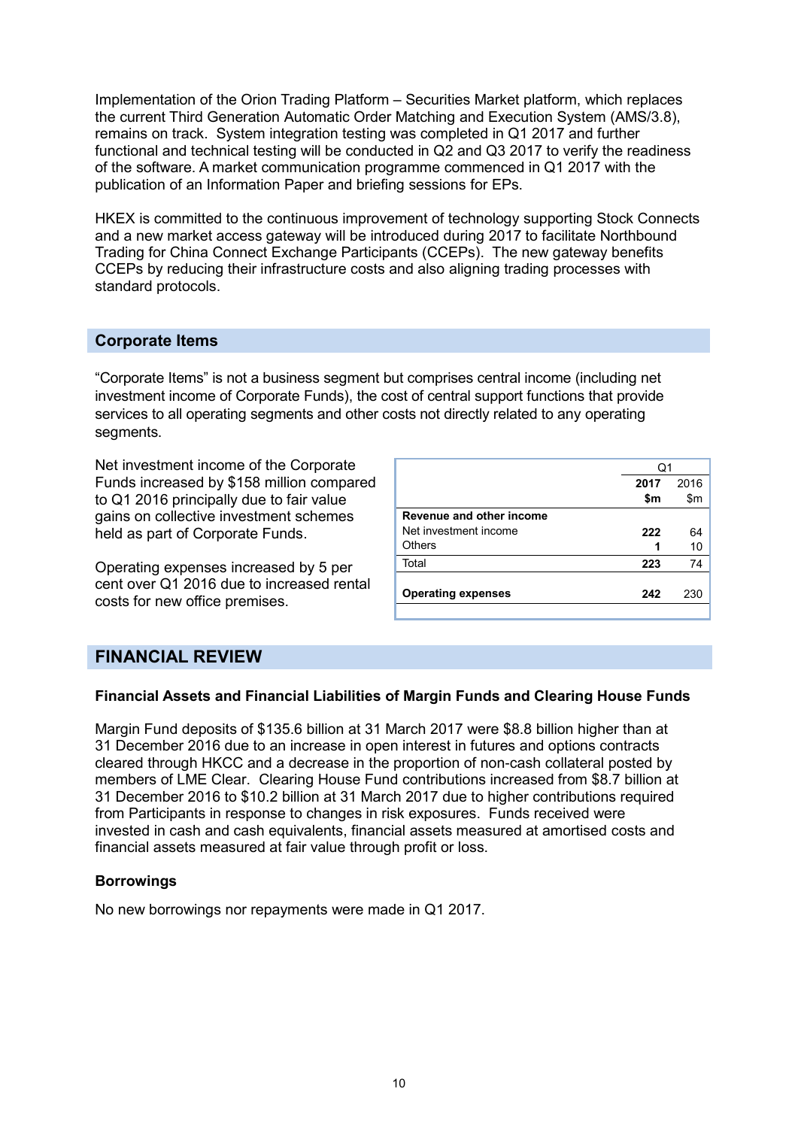Implementation of the Orion Trading Platform – Securities Market platform, which replaces the current Third Generation Automatic Order Matching and Execution System (AMS/3.8), remains on track. System integration testing was completed in Q1 2017 and further functional and technical testing will be conducted in Q2 and Q3 2017 to verify the readiness of the software. A market communication programme commenced in Q1 2017 with the publication of an Information Paper and briefing sessions for EPs.

HKEX is committed to the continuous improvement of technology supporting Stock Connects and a new market access gateway will be introduced during 2017 to facilitate Northbound Trading for China Connect Exchange Participants (CCEPs). The new gateway benefits CCEPs by reducing their infrastructure costs and also aligning trading processes with standard protocols.

#### **Corporate Items**

"Corporate Items" is not a business segment but comprises central income (including net investment income of Corporate Funds), the cost of central support functions that provide services to all operating segments and other costs not directly related to any operating segments.

Net investment income of the Corporate Funds increased by \$158 million compared to Q1 2016 principally due to fair value gains on collective investment schemes held as part of Corporate Funds.

Operating expenses increased by 5 per cent over Q1 2016 due to increased rental costs for new office premises.

|                           | O1   |      |
|---------------------------|------|------|
|                           | 2017 | 2016 |
|                           | \$m  | \$m  |
| Revenue and other income  |      |      |
| Net investment income     | 222  | 64   |
| <b>Others</b>             |      | 10   |
| Total                     | 223  | 74   |
| <b>Operating expenses</b> | 242  | 230  |
|                           |      |      |

### **FINANCIAL REVIEW**

#### **Financial Assets and Financial Liabilities of Margin Funds and Clearing House Funds**

Margin Fund deposits of \$135.6 billion at 31 March 2017 were \$8.8 billion higher than at 31 December 2016 due to an increase in open interest in futures and options contracts cleared through HKCC and a decrease in the proportion of non-cash collateral posted by members of LME Clear. Clearing House Fund contributions increased from \$8.7 billion at 31 December 2016 to \$10.2 billion at 31 March 2017 due to higher contributions required from Participants in response to changes in risk exposures. Funds received were invested in cash and cash equivalents, financial assets measured at amortised costs and financial assets measured at fair value through profit or loss.

#### **Borrowings**

No new borrowings nor repayments were made in Q1 2017.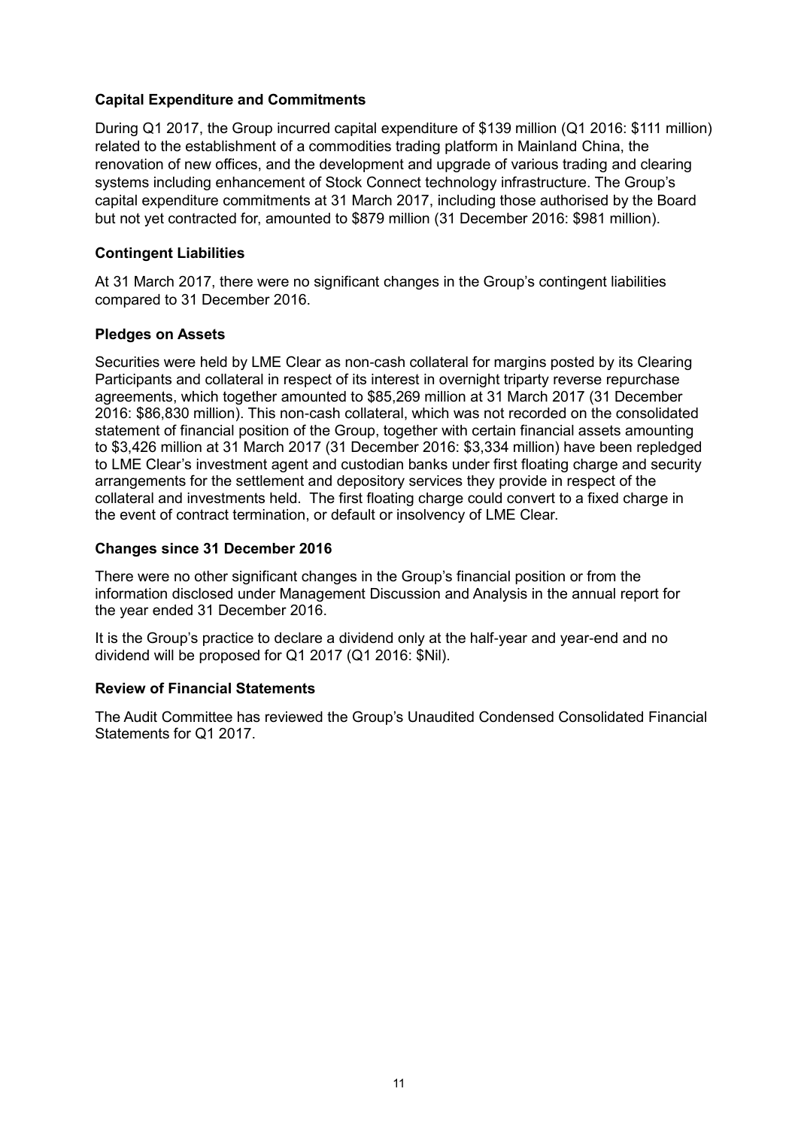#### **Capital Expenditure and Commitments**

During Q1 2017, the Group incurred capital expenditure of \$139 million (Q1 2016: \$111 million) related to the establishment of a commodities trading platform in Mainland China, the renovation of new offices, and the development and upgrade of various trading and clearing systems including enhancement of Stock Connect technology infrastructure. The Group's capital expenditure commitments at 31 March 2017, including those authorised by the Board but not yet contracted for, amounted to \$879 million (31 December 2016: \$981 million).

#### **Contingent Liabilities**

At 31 March 2017, there were no significant changes in the Group's contingent liabilities compared to 31 December 2016.

#### **Pledges on Assets**

Securities were held by LME Clear as non-cash collateral for margins posted by its Clearing Participants and collateral in respect of its interest in overnight triparty reverse repurchase agreements, which together amounted to \$85,269 million at 31 March 2017 (31 December 2016: \$86,830 million). This non-cash collateral, which was not recorded on the consolidated statement of financial position of the Group, together with certain financial assets amounting to \$3,426 million at 31 March 2017 (31 December 2016: \$3,334 million) have been repledged to LME Clear's investment agent and custodian banks under first floating charge and security arrangements for the settlement and depository services they provide in respect of the collateral and investments held. The first floating charge could convert to a fixed charge in the event of contract termination, or default or insolvency of LME Clear.

#### **Changes since 31 December 2016**

There were no other significant changes in the Group's financial position or from the information disclosed under Management Discussion and Analysis in the annual report for the year ended 31 December 2016.

It is the Group's practice to declare a dividend only at the half-year and year-end and no dividend will be proposed for Q1 2017 (Q1 2016: \$Nil).

#### **Review of Financial Statements**

The Audit Committee has reviewed the Group's Unaudited Condensed Consolidated Financial Statements for Q1 2017.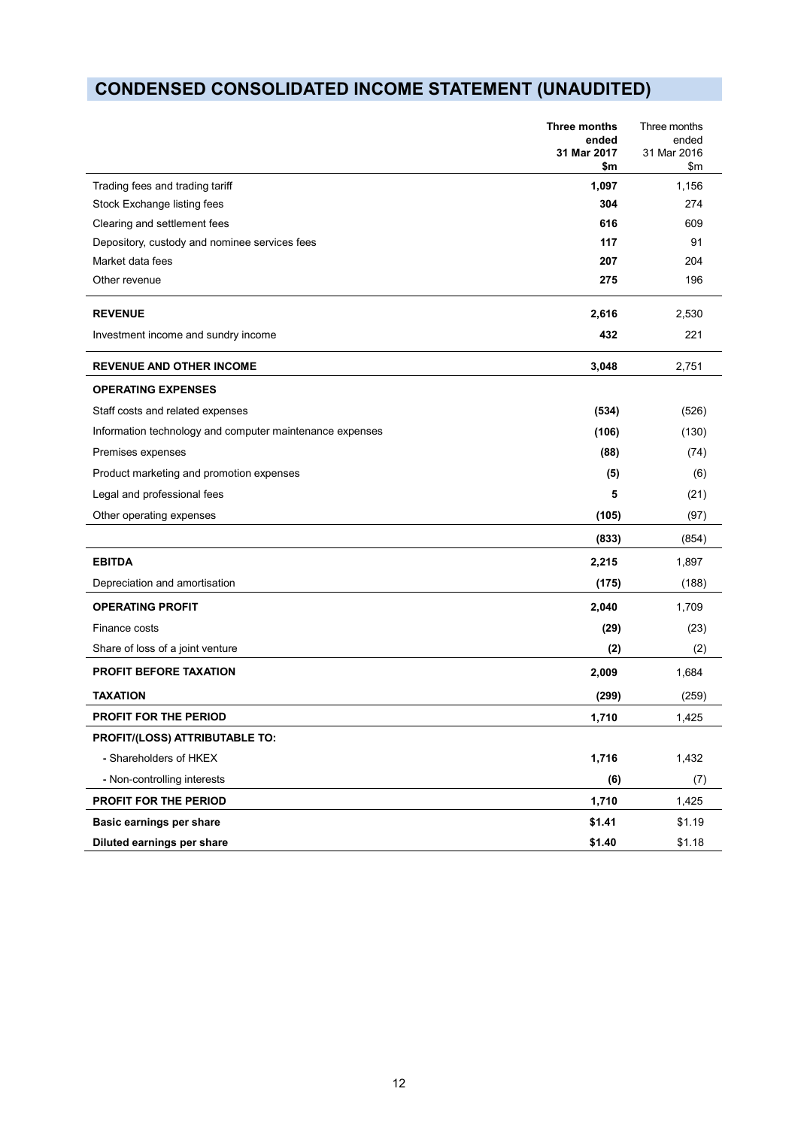# **CONDENSED CONSOLIDATED INCOME STATEMENT (UNAUDITED)**

|                                                          | Three months<br>ended<br>31 Mar 2017<br>\$m | Three months<br>ended<br>31 Mar 2016<br>\$m |
|----------------------------------------------------------|---------------------------------------------|---------------------------------------------|
| Trading fees and trading tariff                          | 1,097                                       | 1,156                                       |
| Stock Exchange listing fees                              | 304                                         | 274                                         |
| Clearing and settlement fees                             | 616                                         | 609                                         |
| Depository, custody and nominee services fees            | 117                                         | 91                                          |
| Market data fees                                         | 207                                         | 204                                         |
| Other revenue                                            | 275                                         | 196                                         |
| <b>REVENUE</b>                                           | 2,616                                       | 2,530                                       |
| Investment income and sundry income                      | 432                                         | 221                                         |
| <b>REVENUE AND OTHER INCOME</b>                          | 3,048                                       | 2,751                                       |
| <b>OPERATING EXPENSES</b>                                |                                             |                                             |
| Staff costs and related expenses                         | (534)                                       | (526)                                       |
| Information technology and computer maintenance expenses | (106)                                       | (130)                                       |
| Premises expenses                                        | (88)                                        | (74)                                        |
| Product marketing and promotion expenses                 | (5)                                         | (6)                                         |
| Legal and professional fees                              | 5                                           | (21)                                        |
| Other operating expenses                                 | (105)                                       | (97)                                        |
|                                                          | (833)                                       | (854)                                       |
| <b>EBITDA</b>                                            | 2,215                                       | 1,897                                       |
| Depreciation and amortisation                            | (175)                                       | (188)                                       |
| <b>OPERATING PROFIT</b>                                  | 2,040                                       | 1,709                                       |
| Finance costs                                            | (29)                                        | (23)                                        |
| Share of loss of a joint venture                         | (2)                                         | (2)                                         |
| <b>PROFIT BEFORE TAXATION</b>                            | 2,009                                       | 1,684                                       |
| <b>TAXATION</b>                                          | (299)                                       | (259)                                       |
| <b>PROFIT FOR THE PERIOD</b>                             | 1.710                                       | 1,425                                       |
| PROFIT/(LOSS) ATTRIBUTABLE TO:                           |                                             |                                             |
| - Shareholders of HKEX                                   | 1,716                                       | 1,432                                       |
| - Non-controlling interests                              | (6)                                         | (7)                                         |
| PROFIT FOR THE PERIOD                                    | 1,710                                       | 1,425                                       |
| Basic earnings per share                                 | \$1.41                                      | \$1.19                                      |
| Diluted earnings per share                               | \$1.40                                      | \$1.18                                      |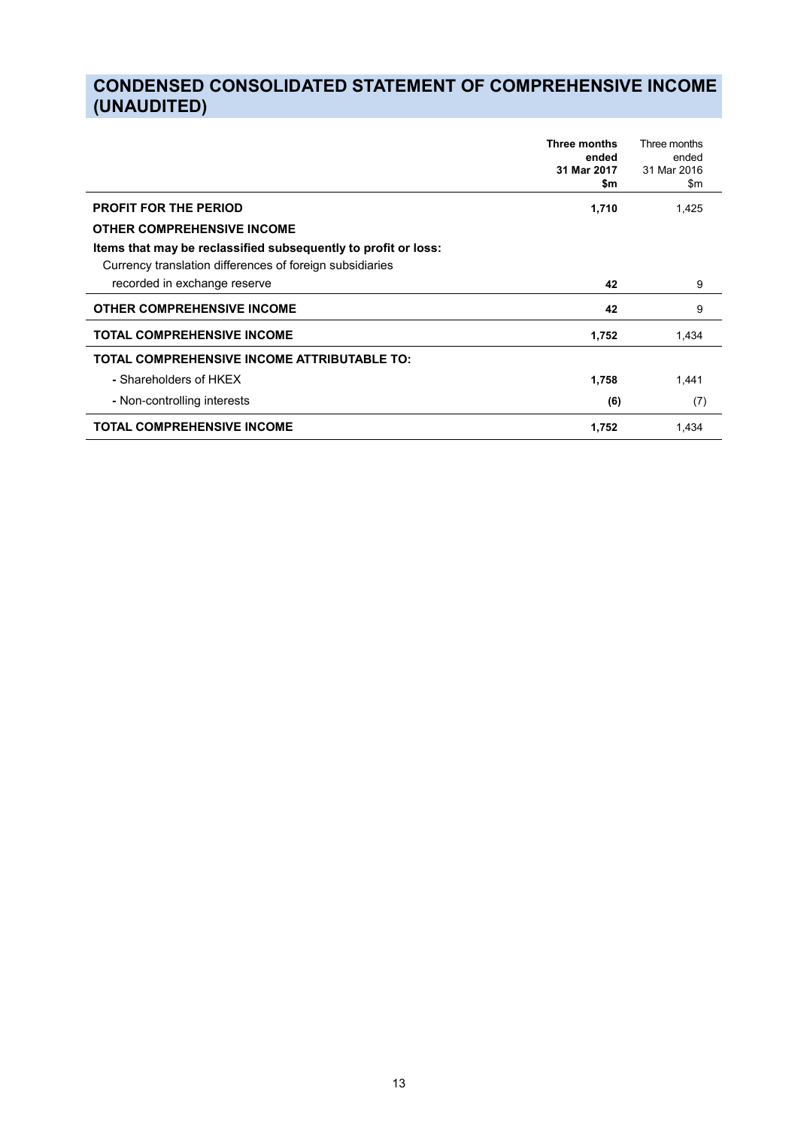## **CONDENSED CONSOLIDATED STATEMENT OF COMPREHENSIVE INCOME (UNAUDITED)**

|                                                                                                                            | Three months<br>ended<br>31 Mar 2017<br>\$m | Three months<br>ended<br>31 Mar 2016<br>\$m |
|----------------------------------------------------------------------------------------------------------------------------|---------------------------------------------|---------------------------------------------|
| <b>PROFIT FOR THE PERIOD</b>                                                                                               | 1,710                                       | 1,425                                       |
| <b>OTHER COMPREHENSIVE INCOME</b>                                                                                          |                                             |                                             |
| Items that may be reclassified subsequently to profit or loss:<br>Currency translation differences of foreign subsidiaries |                                             |                                             |
| recorded in exchange reserve                                                                                               | 42                                          | 9                                           |
| <b>OTHER COMPREHENSIVE INCOME</b>                                                                                          | 42                                          | 9                                           |
| <b>TOTAL COMPREHENSIVE INCOME</b>                                                                                          | 1,752                                       | 1,434                                       |
| <b>TOTAL COMPREHENSIVE INCOME ATTRIBUTABLE TO:</b>                                                                         |                                             |                                             |
| - Shareholders of HKEX                                                                                                     | 1,758                                       | 1,441                                       |
| - Non-controlling interests                                                                                                | (6)                                         | (7)                                         |
| <b>TOTAL COMPREHENSIVE INCOME</b>                                                                                          | 1,752                                       | 1.434                                       |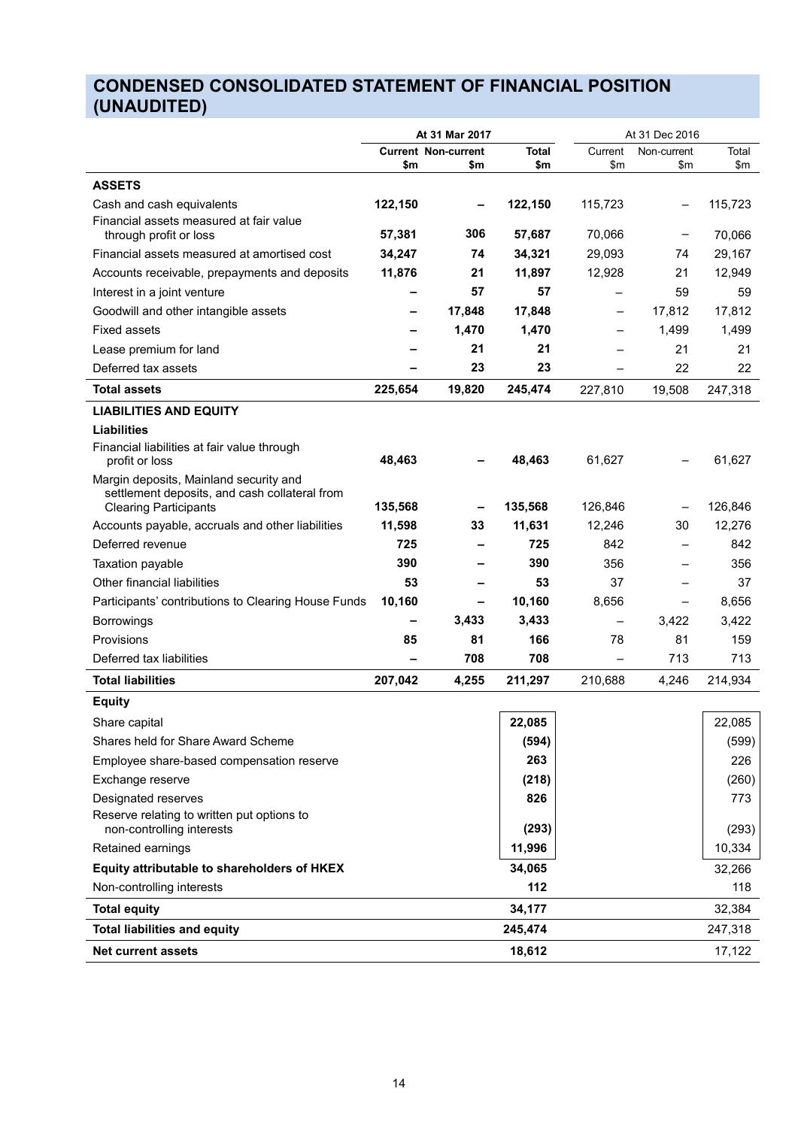# **CONDENSED CONSOLIDATED STATEMENT OF FINANCIAL POSITION (UNAUDITED)**

|                                                                                         |         | At 31 Mar 2017             |              |         | At 31 Dec 2016    |         |
|-----------------------------------------------------------------------------------------|---------|----------------------------|--------------|---------|-------------------|---------|
|                                                                                         |         | <b>Current Non-current</b> | <b>Total</b> | Current | Non-current       | Total   |
|                                                                                         | \$m     | \$m                        | \$m          | \$m     | \$m               | \$m     |
| <b>ASSETS</b>                                                                           |         |                            |              |         |                   |         |
| Cash and cash equivalents<br>Financial assets measured at fair value                    | 122,150 |                            | 122,150      | 115,723 | $\qquad \qquad$   | 115,723 |
| through profit or loss                                                                  | 57,381  | 306                        | 57,687       | 70,066  |                   | 70,066  |
| Financial assets measured at amortised cost                                             | 34,247  | 74                         | 34,321       | 29,093  | 74                | 29,167  |
| Accounts receivable, prepayments and deposits                                           | 11,876  | 21                         | 11,897       | 12,928  | 21                | 12,949  |
| Interest in a joint venture                                                             |         | 57                         | 57           |         | 59                | 59      |
| Goodwill and other intangible assets                                                    |         | 17,848                     | 17,848       | -       | 17,812            | 17,812  |
| Fixed assets                                                                            |         | 1,470                      | 1,470        |         | 1,499             | 1,499   |
| Lease premium for land                                                                  |         | 21                         | 21           |         | 21                | 21      |
| Deferred tax assets                                                                     |         | 23                         | 23           |         | 22                | 22      |
| <b>Total assets</b>                                                                     | 225,654 | 19,820                     | 245,474      | 227,810 | 19,508            | 247,318 |
| <b>LIABILITIES AND EQUITY</b>                                                           |         |                            |              |         |                   |         |
| <b>Liabilities</b>                                                                      |         |                            |              |         |                   |         |
| Financial liabilities at fair value through<br>profit or loss                           | 48,463  |                            | 48,463       | 61,627  |                   | 61,627  |
| Margin deposits, Mainland security and<br>settlement deposits, and cash collateral from |         |                            |              |         |                   |         |
| <b>Clearing Participants</b>                                                            | 135,568 |                            | 135,568      | 126,846 |                   | 126,846 |
| Accounts payable, accruals and other liabilities                                        | 11,598  | 33                         | 11,631       | 12,246  | 30                | 12,276  |
| Deferred revenue                                                                        | 725     |                            | 725          | 842     |                   | 842     |
| Taxation payable                                                                        | 390     |                            | 390          | 356     |                   | 356     |
| Other financial liabilities                                                             | 53      |                            | 53           | 37      |                   | 37      |
| Participants' contributions to Clearing House Funds                                     | 10,160  |                            | 10,160       | 8,656   | $\qquad \qquad -$ | 8,656   |
| <b>Borrowings</b>                                                                       |         | 3,433                      | 3,433        | —       | 3,422             | 3,422   |
| Provisions                                                                              | 85      | 81                         | 166          | 78      | 81                | 159     |
| Deferred tax liabilities                                                                |         | 708                        | 708          |         | 713               | 713     |
| <b>Total liabilities</b>                                                                | 207,042 | 4,255                      | 211,297      | 210,688 | 4,246             | 214,934 |
| <b>Equity</b>                                                                           |         |                            |              |         |                   |         |
| Share capital                                                                           |         |                            | 22,085       |         |                   | 22,085  |
| Shares held for Share Award Scheme                                                      |         |                            | (594)        |         |                   | (599)   |
| Employee share-based compensation reserve                                               |         |                            | 263          |         |                   | 226     |
| Exchange reserve                                                                        |         |                            | (218)        |         |                   | (260)   |
| Designated reserves                                                                     |         |                            | 826          |         |                   | 773     |
| Reserve relating to written put options to<br>non-controlling interests                 |         |                            | (293)        |         |                   | (293)   |
| Retained earnings                                                                       |         |                            | 11,996       |         |                   | 10,334  |
| Equity attributable to shareholders of HKEX                                             |         |                            | 34,065       |         |                   | 32,266  |
| Non-controlling interests                                                               |         |                            | 112          |         |                   | 118     |
| <b>Total equity</b>                                                                     |         |                            | 34,177       |         |                   | 32,384  |
| <b>Total liabilities and equity</b>                                                     |         |                            | 245,474      |         |                   | 247,318 |
| <b>Net current assets</b>                                                               |         |                            | 18,612       |         |                   | 17,122  |